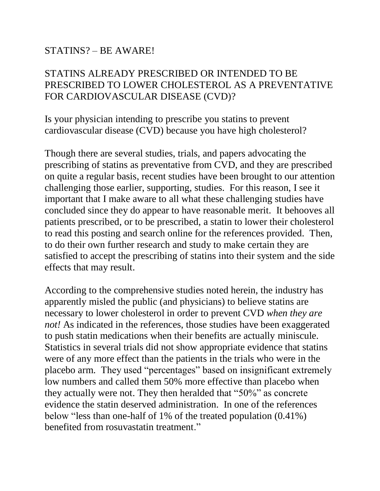## STATINS? – BE AWARE!

## STATINS ALREADY PRESCRIBED OR INTENDED TO BE PRESCRIBED TO LOWER CHOLESTEROL AS A PREVENTATIVE FOR CARDIOVASCULAR DISEASE (CVD)?

Is your physician intending to prescribe you statins to prevent cardiovascular disease (CVD) because you have high cholesterol?

Though there are several studies, trials, and papers advocating the prescribing of statins as preventative from CVD, and they are prescribed on quite a regular basis, recent studies have been brought to our attention challenging those earlier, supporting, studies. For this reason, I see it important that I make aware to all what these challenging studies have concluded since they do appear to have reasonable merit. It behooves all patients prescribed, or to be prescribed, a statin to lower their cholesterol to read this posting and search online for the references provided. Then, to do their own further research and study to make certain they are satisfied to accept the prescribing of statins into their system and the side effects that may result.

According to the comprehensive studies noted herein, the industry has apparently misled the public (and physicians) to believe statins are necessary to lower cholesterol in order to prevent CVD *when they are not!* As indicated in the references, those studies have been exaggerated to push statin medications when their benefits are actually miniscule. Statistics in several trials did not show appropriate evidence that statins were of any more effect than the patients in the trials who were in the placebo arm. They used "percentages" based on insignificant extremely low numbers and called them 50% more effective than placebo when they actually were not. They then heralded that "50%" as concrete evidence the statin deserved administration. In one of the references below "less than one-half of 1% of the treated population (0.41%) benefited from rosuvastatin treatment."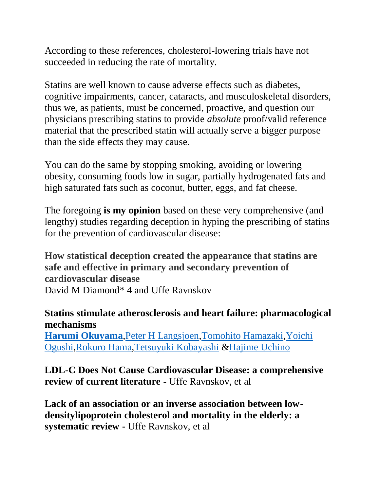According to these references, cholesterol-lowering trials have not succeeded in reducing the rate of mortality.

Statins are well known to cause adverse effects such as diabetes, cognitive impairments, cancer, cataracts, and musculoskeletal disorders, thus we, as patients, must be concerned, proactive, and question our physicians prescribing statins to provide *absolute* proof/valid reference material that the prescribed statin will actually serve a bigger purpose than the side effects they may cause.

You can do the same by stopping smoking, avoiding or lowering obesity, consuming foods low in sugar, partially hydrogenated fats and high saturated fats such as coconut, butter, eggs, and fat cheese.

The foregoing **is my opinion** based on these very comprehensive (and lengthy) studies regarding deception in hyping the prescribing of statins for the prevention of cardiovascular disease:

**How statistical deception created the appearance that statins are safe and effective in primary and secondary prevention of cardiovascular disease** David M Diamond\* 4 and Uffe Ravnskov

## **Statins stimulate atherosclerosis and heart failure: pharmacological mechanisms**

**[Harumi Okuyama](https://www.tandfonline.com/author/Okuyama%2C+Harumi)**[,Peter H Langsjoen,](https://www.tandfonline.com/author/Langsjoen%2C+Peter+H)[Tomohito Hamazaki,](https://www.tandfonline.com/author/Hamazaki%2C+Tomohito)[Yoichi](https://www.tandfonline.com/author/Ogushi%2C+Yoichi) [Ogushi](https://www.tandfonline.com/author/Ogushi%2C+Yoichi)[,Rokuro Hama,](https://www.tandfonline.com/author/Hama%2C+Rokuro)[Tetsuyuki Kobayashi](https://www.tandfonline.com/author/Kobayashi%2C+Tetsuyuki) [&Hajime Uchino](https://www.tandfonline.com/author/Uchino%2C+Hajime)

**LDL-C Does Not Cause Cardiovascular Disease: a comprehensive review of current literature** - Uffe Ravnskov, et al

**Lack of an association or an inverse association between lowdensitylipoprotein cholesterol and mortality in the elderly: a systematic review -** Uffe Ravnskov, et al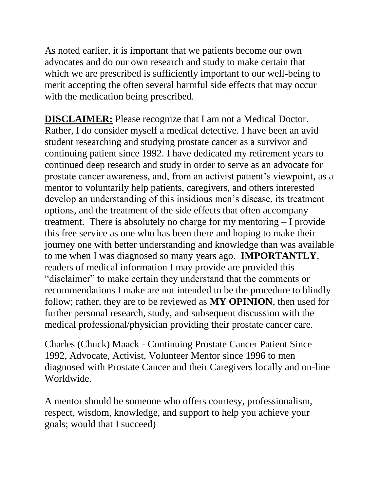As noted earlier, it is important that we patients become our own advocates and do our own research and study to make certain that which we are prescribed is sufficiently important to our well-being to merit accepting the often several harmful side effects that may occur with the medication being prescribed.

**DISCLAIMER:** Please recognize that I am not a Medical Doctor. Rather, I do consider myself a medical detective. I have been an avid student researching and studying prostate cancer as a survivor and continuing patient since 1992. I have dedicated my retirement years to continued deep research and study in order to serve as an advocate for prostate cancer awareness, and, from an activist patient's viewpoint, as a mentor to voluntarily help patients, caregivers, and others interested develop an understanding of this insidious men's disease, its treatment options, and the treatment of the side effects that often accompany treatment. There is absolutely no charge for my mentoring – I provide this free service as one who has been there and hoping to make their journey one with better understanding and knowledge than was available to me when I was diagnosed so many years ago. **IMPORTANTLY**, readers of medical information I may provide are provided this "disclaimer" to make certain they understand that the comments or recommendations I make are not intended to be the procedure to blindly follow; rather, they are to be reviewed as **MY OPINION**, then used for further personal research, study, and subsequent discussion with the medical professional/physician providing their prostate cancer care.

Charles (Chuck) Maack - Continuing Prostate Cancer Patient Since 1992, Advocate, Activist, Volunteer Mentor since 1996 to men diagnosed with Prostate Cancer and their Caregivers locally and on-line Worldwide.

A mentor should be someone who offers courtesy, professionalism, respect, wisdom, knowledge, and support to help you achieve your goals; would that I succeed)